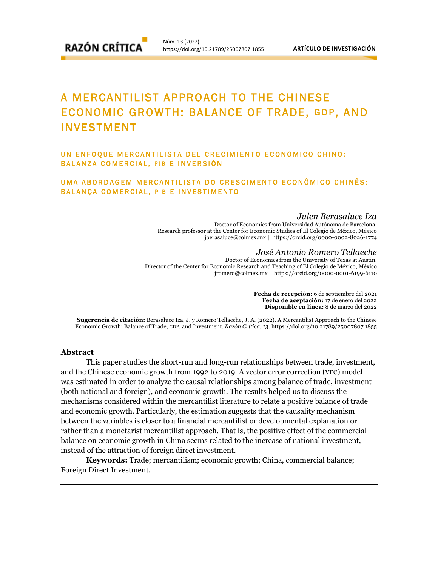# A MERCANTILIST APPROACH TO THE CHINESE ECONOMIC GROWTH: BALANCE OF TRADE, GDP, AND INVESTMENT

# UN ENFOOUE MERCANTILISTA DEL CRECIMIENTO ECONÓMICO CHINO: BALANZA COMERCIAL, PIB E INVERSIÓN

# UMA ABORDAGEM MERCANTILISTA DO CRESCIMENTO ECONÔMICO CHINÊS: BALANÇA COMERCIAL, PIB E INVESTIMENTO

#### *Julen Berasaluce Iza*

Doctor of Economics from Universidad Autónoma de Barcelona. Research professor at the Center for Economic Studies of El Colegio de México, México [jberasaluce@colmex.mx](mailto:wpitts@rti.org%20%7C) | https://orcid.org/0000-0002-8026-1774

#### *José Antonio Romero Tellaeche*

Doctor of Economics from the University of Texas at Austin. Director of the Center for Economic Research and Teaching of El Colegio de México, México [jromero@colmex.mx](mailto:wpitts@rti.org%20%7C) | https://orcid.org/0000-0001-6199-6110

> **Fecha de recepción:** 6 de septiembre del 2021 **Fecha de aceptación:** 17 de enero del 2022 **Disponible en línea:** 8 de marzo del 2022

**Sugerencia de citación:** Berasaluce Iza, J. y Romero Tellaeche, J. A. (2022). A Mercantilist Approach to the Chinese Economic Growth: Balance of Trade, GDP, and Investment. *Razón Crítica, 13*. https://doi.org/10.21789/25007807.1855

## **Abstract**

This paper studies the short-run and long-run relationships between trade, investment, and the Chinese economic growth from 1992 to 2019. A vector error correction (VEC) model was estimated in order to analyze the causal relationships among balance of trade, investment (both national and foreign), and economic growth. The results helped us to discuss the mechanisms considered within the mercantilist literature to relate a positive balance of trade and economic growth. Particularly, the estimation suggests that the causality mechanism between the variables is closer to a financial mercantilist or developmental explanation or rather than a monetarist mercantilist approach. That is, the positive effect of the commercial balance on economic growth in China seems related to the increase of national investment, instead of the attraction of foreign direct investment.

**Keywords:** Trade; mercantilism; economic growth; China, commercial balance; Foreign Direct Investment.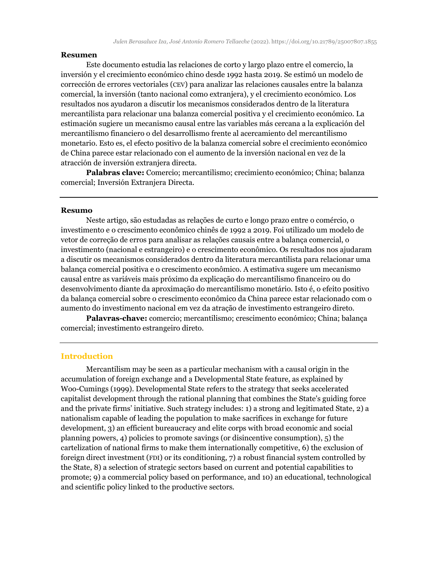## **Resumen**

Este documento estudia las relaciones de corto y largo plazo entre el comercio, la inversión y el crecimiento económico chino desde 1992 hasta 2019. Se estimó un modelo de corrección de errores vectoriales (CEV) para analizar las relaciones causales entre la balanza comercial, la inversión (tanto nacional como extranjera), y el crecimiento económico. Los resultados nos ayudaron a discutir los mecanismos considerados dentro de la literatura mercantilista para relacionar una balanza comercial positiva y el crecimiento económico. La estimación sugiere un mecanismo causal entre las variables más cercana a la explicación del mercantilismo financiero o del desarrollismo frente al acercamiento del mercantilismo monetario. Esto es, el efecto positivo de la balanza comercial sobre el crecimiento económico de China parece estar relacionado con el aumento de la inversión nacional en vez de la atracción de inversión extranjera directa.

**Palabras clave:** Comercio; mercantilismo; crecimiento económico; China; balanza comercial; Inversión Extranjera Directa.

#### **Resumo**

Neste artigo, são estudadas as relações de curto e longo prazo entre o comércio, o investimento e o crescimento econômico chinês de 1992 a 2019. Foi utilizado um modelo de vetor de correção de erros para analisar as relações causais entre a balança comercial, o investimento (nacional e estrangeiro) e o crescimento econômico. Os resultados nos ajudaram a discutir os mecanismos considerados dentro da literatura mercantilista para relacionar uma balança comercial positiva e o crescimento econômico. A estimativa sugere um mecanismo causal entre as variáveis mais próximo da explicação do mercantilismo financeiro ou do desenvolvimento diante da aproximação do mercantilismo monetário. Isto é, o efeito positivo da balança comercial sobre o crescimento econômico da China parece estar relacionado com o aumento do investimento nacional em vez da atração de investimento estrangeiro direto.

**Palavras-chave:** comercio; mercantilismo; crescimento económico; China; balança comercial; investimento estrangeiro direto.

#### **Introduction**

Mercantilism may be seen as a particular mechanism with a causal origin in the accumulation of foreign exchange and a Developmental State feature, as explained by Woo-Cumings (1999). Developmental State refers to the strategy that seeks accelerated capitalist development through the rational planning that combines the State's guiding force and the private firms' initiative. Such strategy includes: 1) a strong and legitimated State, 2) a nationalism capable of leading the population to make sacrifices in exchange for future development, 3) an efficient bureaucracy and elite corps with broad economic and social planning powers, 4) policies to promote savings (or disincentive consumption), 5) the cartelization of national firms to make them internationally competitive, 6) the exclusion of foreign direct investment (FDI) or its conditioning, 7) a robust financial system controlled by the State, 8) a selection of strategic sectors based on current and potential capabilities to promote; 9) a commercial policy based on performance, and 10) an educational, technological and scientific policy linked to the productive sectors.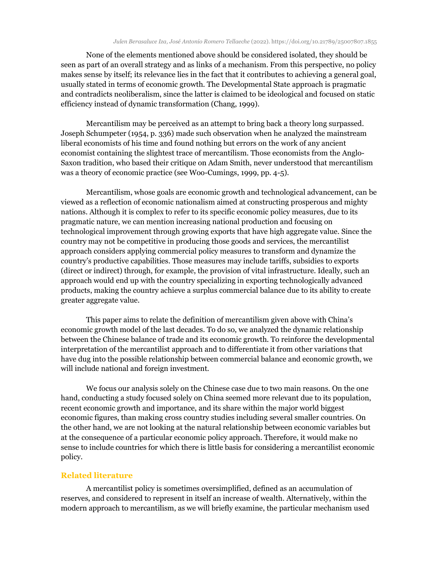None of the elements mentioned above should be considered isolated, they should be seen as part of an overall strategy and as links of a mechanism. From this perspective, no policy makes sense by itself; its relevance lies in the fact that it contributes to achieving a general goal, usually stated in terms of economic growth. The Developmental State approach is pragmatic and contradicts neoliberalism, since the latter is claimed to be ideological and focused on static efficiency instead of dynamic transformation (Chang, 1999).

Mercantilism may be perceived as an attempt to bring back a theory long surpassed. Joseph Schumpeter (1954, p. 336) made such observation when he analyzed the mainstream liberal economists of his time and found nothing but errors on the work of any ancient economist containing the slightest trace of mercantilism. Those economists from the Anglo-Saxon tradition, who based their critique on Adam Smith, never understood that mercantilism was a theory of economic practice (see Woo-Cumings, 1999, pp. 4-5).

Mercantilism, whose goals are economic growth and technological advancement, can be viewed as a reflection of economic nationalism aimed at constructing prosperous and mighty nations. Although it is complex to refer to its specific economic policy measures, due to its pragmatic nature, we can mention increasing national production and focusing on technological improvement through growing exports that have high aggregate value. Since the country may not be competitive in producing those goods and services, the mercantilist approach considers applying commercial policy measures to transform and dynamize the country's productive capabilities. Those measures may include tariffs, subsidies to exports (direct or indirect) through, for example, the provision of vital infrastructure. Ideally, such an approach would end up with the country specializing in exporting technologically advanced products, making the country achieve a surplus commercial balance due to its ability to create greater aggregate value.

This paper aims to relate the definition of mercantilism given above with China's economic growth model of the last decades. To do so, we analyzed the dynamic relationship between the Chinese balance of trade and its economic growth. To reinforce the developmental interpretation of the mercantilist approach and to differentiate it from other variations that have dug into the possible relationship between commercial balance and economic growth, we will include national and foreign investment.

We focus our analysis solely on the Chinese case due to two main reasons. On the one hand, conducting a study focused solely on China seemed more relevant due to its population, recent economic growth and importance, and its share within the major world biggest economic figures, than making cross country studies including several smaller countries. On the other hand, we are not looking at the natural relationship between economic variables but at the consequence of a particular economic policy approach. Therefore, it would make no sense to include countries for which there is little basis for considering a mercantilist economic policy.

# **Related literature**

A mercantilist policy is sometimes oversimplified, defined as an accumulation of reserves, and considered to represent in itself an increase of wealth. Alternatively, within the modern approach to mercantilism, as we will briefly examine, the particular mechanism used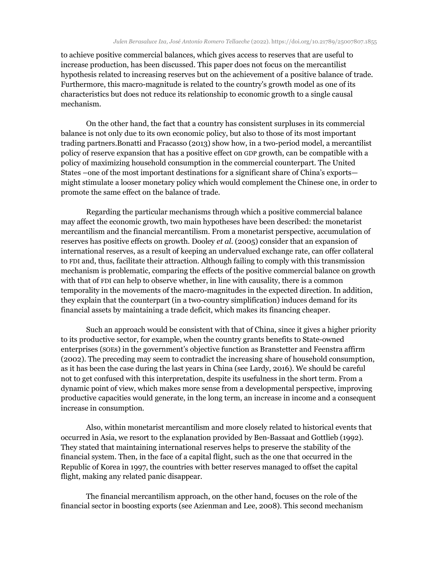to achieve positive commercial balances, which gives access to reserves that are useful to increase production, has been discussed. This paper does not focus on the mercantilist hypothesis related to increasing reserves but on the achievement of a positive balance of trade. Furthermore, this macro-magnitude is related to the country's growth model as one of its characteristics but does not reduce its relationship to economic growth to a single causal mechanism.

On the other hand, the fact that a country has consistent surpluses in its commercial balance is not only due to its own economic policy, but also to those of its most important trading partners.Bonatti and Fracasso (2013) show how, in a two-period model, a mercantilist policy of reserve expansion that has a positive effect on GDP growth, can be compatible with a policy of maximizing household consumption in the commercial counterpart. The United States –one of the most important destinations for a significant share of China's exports might stimulate a looser monetary policy which would complement the Chinese one, in order to promote the same effect on the balance of trade.

Regarding the particular mechanisms through which a positive commercial balance may affect the economic growth, two main hypotheses have been described: the monetarist mercantilism and the financial mercantilism. From a monetarist perspective, accumulation of reserves has positive effects on growth. Dooley *et al*. (2005) consider that an expansion of international reserves, as a result of keeping an undervalued exchange rate, can offer collateral to FDI and, thus, facilitate their attraction. Although failing to comply with this transmission mechanism is problematic, comparing the effects of the positive commercial balance on growth with that of FDI can help to observe whether, in line with causality, there is a common temporality in the movements of the macro-magnitudes in the expected direction. In addition, they explain that the counterpart (in a two-country simplification) induces demand for its financial assets by maintaining a trade deficit, which makes its financing cheaper.

Such an approach would be consistent with that of China, since it gives a higher priority to its productive sector, for example, when the country grants benefits to State-owned enterprises (SOEs) in the government's objective function as Branstetter and Feenstra affirm (2002). The preceding may seem to contradict the increasing share of household consumption, as it has been the case during the last years in China (see Lardy, 2016). We should be careful not to get confused with this interpretation, despite its usefulness in the short term. From a dynamic point of view, which makes more sense from a developmental perspective, improving productive capacities would generate, in the long term, an increase in income and a consequent increase in consumption.

Also, within monetarist mercantilism and more closely related to historical events that occurred in Asia, we resort to the explanation provided by Ben-Bassaat and Gottlieb (1992). They stated that maintaining international reserves helps to preserve the stability of the financial system. Then, in the face of a capital flight, such as the one that occurred in the Republic of Korea in 1997, the countries with better reserves managed to offset the capital flight, making any related panic disappear.

The financial mercantilism approach, on the other hand, focuses on the role of the financial sector in boosting exports (see Azienman and Lee, 2008). This second mechanism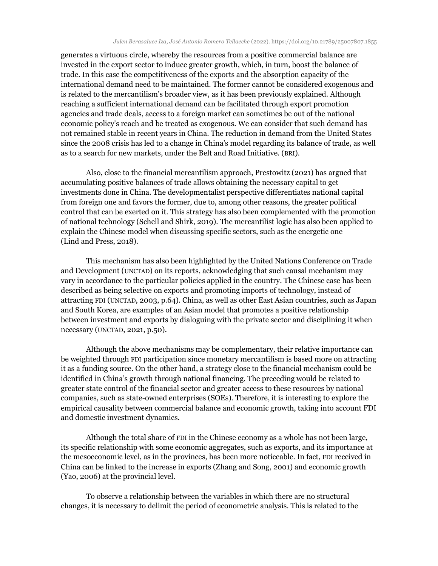generates a virtuous circle, whereby the resources from a positive commercial balance are invested in the export sector to induce greater growth, which, in turn, boost the balance of trade. In this case the competitiveness of the exports and the absorption capacity of the international demand need to be maintained. The former cannot be considered exogenous and is related to the mercantilism's broader view, as it has been previously explained. Although reaching a sufficient international demand can be facilitated through export promotion agencies and trade deals, access to a foreign market can sometimes be out of the national economic policy's reach and be treated as exogenous. We can consider that such demand has not remained stable in recent years in China. The reduction in demand from the United States since the 2008 crisis has led to a change in China's model regarding its balance of trade, as well as to a search for new markets, under the Belt and Road Initiative. (BRI).

Also, close to the financial mercantilism approach, Prestowitz (2021) has argued that accumulating positive balances of trade allows obtaining the necessary capital to get investments done in China. The developmentalist perspective differentiates national capital from foreign one and favors the former, due to, among other reasons, the greater political control that can be exerted on it. This strategy has also been complemented with the promotion of national technology (Schell and Shirk, 2019). The mercantilist logic has also been applied to explain the Chinese model when discussing specific sectors, such as the energetic one (Lind and Press, 2018).

This mechanism has also been highlighted by the United Nations Conference on Trade and Development (UNCTAD) on its reports, acknowledging that such causal mechanism may vary in accordance to the particular policies applied in the country. The Chinese case has been described as being selective on exports and promoting imports of technology, instead of attracting FDI (UNCTAD, 2003, p.64). China, as well as other East Asian countries, such as Japan and South Korea, are examples of an Asian model that promotes a positive relationship between investment and exports by dialoguing with the private sector and disciplining it when necessary (UNCTAD, 2021, p.50).

Although the above mechanisms may be complementary, their relative importance can be weighted through FDI participation since monetary mercantilism is based more on attracting it as a funding source. On the other hand, a strategy close to the financial mechanism could be identified in China's growth through national financing. The preceding would be related to greater state control of the financial sector and greater access to these resources by national companies, such as state-owned enterprises (SOEs). Therefore, it is interesting to explore the empirical causality between commercial balance and economic growth, taking into account FDI and domestic investment dynamics.

Although the total share of FDI in the Chinese economy as a whole has not been large, its specific relationship with some economic aggregates, such as exports, and its importance at the mesoeconomic level, as in the provinces, has been more noticeable. In fact, FDI received in China can be linked to the increase in exports (Zhang and Song, 2001) and economic growth (Yao, 2006) at the provincial level.

To observe a relationship between the variables in which there are no structural changes, it is necessary to delimit the period of econometric analysis. This is related to the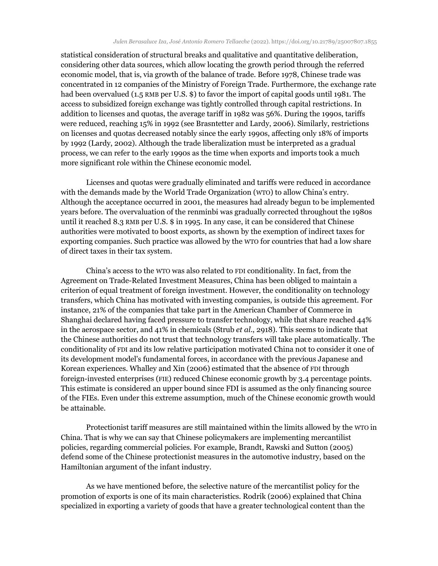statistical consideration of structural breaks and qualitative and quantitative deliberation, considering other data sources, which allow locating the growth period through the referred economic model, that is, via growth of the balance of trade. Before 1978, Chinese trade was concentrated in 12 companies of the Ministry of Foreign Trade. Furthermore, the exchange rate had been overvalued (1.5 RMB per U.S. \$) to favor the import of capital goods until 1981. The access to subsidized foreign exchange was tightly controlled through capital restrictions. In addition to licenses and quotas, the average tariff in 1982 was 56%. During the 1990s, tariffs were reduced, reaching 15% in 1992 (see Brasntetter and Lardy, 2006). Similarly, restrictions on licenses and quotas decreased notably since the early 1990s, affecting only 18% of imports by 1992 (Lardy, 2002). Although the trade liberalization must be interpreted as a gradual process, we can refer to the early 1990s as the time when exports and imports took a much more significant role within the Chinese economic model.

Licenses and quotas were gradually eliminated and tariffs were reduced in accordance with the demands made by the World Trade Organization (WTO) to allow China's entry. Although the acceptance occurred in 2001, the measures had already begun to be implemented years before. The overvaluation of the renminbi was gradually corrected throughout the 1980s until it reached 8.3 RMB per U.S. \$ in 1995. In any case, it can be considered that Chinese authorities were motivated to boost exports, as shown by the exemption of indirect taxes for exporting companies. Such practice was allowed by the WTO for countries that had a low share of direct taxes in their tax system.

China's access to the WTO was also related to FDI conditionality. In fact, from the Agreement on Trade-Related Investment Measures, China has been obliged to maintain a criterion of equal treatment of foreign investment. However, the conditionality on technology transfers, which China has motivated with investing companies, is outside this agreement. For instance, 21% of the companies that take part in the American Chamber of Commerce in Shanghai declared having faced pressure to transfer technology, while that share reached 44% in the aerospace sector, and 41% in chemicals (Strub *et al*., 2918). This seems to indicate that the Chinese authorities do not trust that technology transfers will take place automatically. The conditionality of FDI and its low relative participation motivated China not to consider it one of its development model's fundamental forces, in accordance with the previous Japanese and Korean experiences. Whalley and Xin (2006) estimated that the absence of FDI through foreign-invested enterprises (FIE) reduced Chinese economic growth by 3.4 percentage points. This estimate is considered an upper bound since FDI is assumed as the only financing source of the FIEs. Even under this extreme assumption, much of the Chinese economic growth would be attainable.

Protectionist tariff measures are still maintained within the limits allowed by the WTO in China. That is why we can say that Chinese policymakers are implementing mercantilist policies, regarding commercial policies. For example, Brandt, Rawski and Sutton (2005) defend some of the Chinese protectionist measures in the automotive industry, based on the Hamiltonian argument of the infant industry.

As we have mentioned before, the selective nature of the mercantilist policy for the promotion of exports is one of its main characteristics. Rodrik (2006) explained that China specialized in exporting a variety of goods that have a greater technological content than the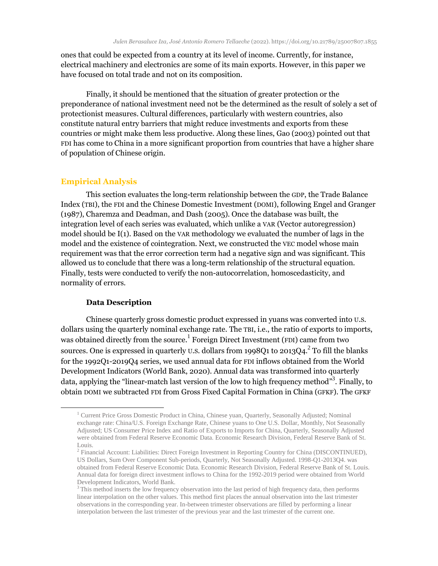ones that could be expected from a country at its level of income. Currently, for instance, electrical machinery and electronics are some of its main exports. However, in this paper we have focused on total trade and not on its composition.

Finally, it should be mentioned that the situation of greater protection or the preponderance of national investment need not be the determined as the result of solely a set of protectionist measures. Cultural differences, particularly with western countries, also constitute natural entry barriers that might reduce investments and exports from these countries or might make them less productive. Along these lines, Gao (2003) pointed out that FDI has come to China in a more significant proportion from countries that have a higher share of population of Chinese origin.

## **Empirical Analysis**

This section evaluates the long-term relationship between the GDP, the Trade Balance Index (TBI), the FDI and the Chinese Domestic Investment (DOMI), following Engel and Granger (1987), Charemza and Deadman, and Dash (2005). Once the database was built, the integration level of each series was evaluated, which unlike a VAR (Vector autoregression) model should be I(1). Based on the VAR methodology we evaluated the number of lags in the model and the existence of cointegration. Next, we constructed the VEC model whose main requirement was that the error correction term had a negative sign and was significant. This allowed us to conclude that there was a long-term relationship of the structural equation. Finally, tests were conducted to verify the non-autocorrelation, homoscedasticity, and normality of errors.

## **Data Description**

 $\overline{a}$ 

Chinese quarterly gross domestic product expressed in yuans was converted into U.S. dollars using the quarterly nominal exchange rate. The TBI, i.e., the ratio of exports to imports, was obtained directly from the source.<sup>1</sup> Foreign Direct Investment (FDI) came from two sources. One is expressed in quarterly U.S. dollars from 1998Q1 to 2013Q4. $^2$  To fill the blanks for the 1992Q1-2019Q4 series, we used annual data for FDI inflows obtained from the World Development Indicators (World Bank, 2020). Annual data was transformed into quarterly data, applying the "linear-match last version of the low to high frequency method"<sup>3</sup>. Finally, to obtain DOMI we subtracted FDI from Gross Fixed Capital Formation in China (GFKF). The GFKF

<sup>&</sup>lt;sup>1</sup> Current Price Gross Domestic Product in China, Chinese yuan, Quarterly, Seasonally Adjusted; Nominal exchange rate: China/U.S. Foreign Exchange Rate, Chinese yuans to One U.S. Dollar, Monthly, Not Seasonally Adjusted; US Consumer Price Index and Ratio of Exports to Imports for China, Quarterly, Seasonally Adjusted were obtained from Federal Reserve Economic Data. Economic Research Division, Federal Reserve Bank of St. Louis.

<sup>&</sup>lt;sup>2</sup> Financial Account: Liabilities: Direct Foreign Investment in Reporting Country for China (DISCONTINUED), US Dollars, Sum Over Component Sub-periods, Quarterly, Not Seasonally Adjusted. 1998-Q1-2013Q4. was obtained from Federal Reserve Economic Data. Economic Research Division, Federal Reserve Bank of St. Louis. Annual data for foreign direct investment inflows to China for the 1992-2019 period were obtained from World Development Indicators, World Bank.

<sup>&</sup>lt;sup>3</sup> This method inserts the low frequency observation into the last period of high frequency data, then performs linear interpolation on the other values. This method first places the annual observation into the last trimester observations in the corresponding year. In-between trimester observations are filled by performing a linear interpolation between the last trimester of the previous year and the last trimester of the current one.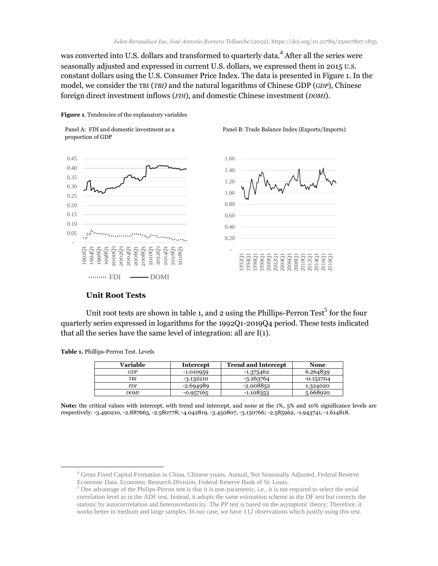was converted into U.S. dollars and transformed to quarterly data. $^4$  After all the series were seasonally adjusted and expressed in current U.S. dollars, we expressed them in 2015 U.S. constant dollars using the U.S. Consumer Price Index. The data is presented in Figure 1. In the model, we consider the TBI (*TBI)* and the natural logarithms of Chinese GDP (*GDP*), Chinese foreign direct investment inflows (*FDI*), and domestic Chinese investment (*DOMI*).









# **Unit Root Tests**

Unit root tests are shown in table 1, and 2 using the Phillips-Perron Test<sup>5</sup> for the four quarterly series expressed in logarithms for the 1992Q1-2019Q4 period. These tests indicated that all the series have the same level of integration: all are I(1).

**Table 1.** Phillips-Perron Test. Levels

 $\overline{a}$ 

| Variable | Intercept   | <b>Trend and Intercept</b> | None        |
|----------|-------------|----------------------------|-------------|
| GDP      | $-1.010959$ | $-1.375462$                | 6.264839    |
| TBI      | $-3.132210$ | $-3.263764$                | $-0.152704$ |
| FDI      | $-2.694989$ | $-2.008852$                | 1.324020    |
| DOMI     | $-0.957165$ | $-1.108353$                | 5.668920    |

**Note:** the critical values with intercept, with trend and intercept, and none at the 1%, 5% and 10% significance levels are respectively: -3.490210, -2.887665, -2.580778; -4.042819, -3.450807, -3.150766; -2.585962, -1.943741, -1.614818.

<sup>4</sup> Gross Fixed Capital Formation in China, Chinese yuans, Annual, Not Seasonally Adjusted. Federal Reserve Economic Data. Economic Research Division, Federal Reserve Bank of St. Louis.

 $<sup>5</sup>$  One advantage of the Philips-Perron test is that it is non-parametric, i.e., it is not required to select the serial</sup> correlation level as in the ADF test. Instead, it adopts the same estimation scheme as the DF test but corrects the statistic by autocorrrelation and heteroscedasticity. The PP test is based on the asymptotic theory; Therefore, it works better in medium and large samples. In our case, we have 112 observations which justify using this test.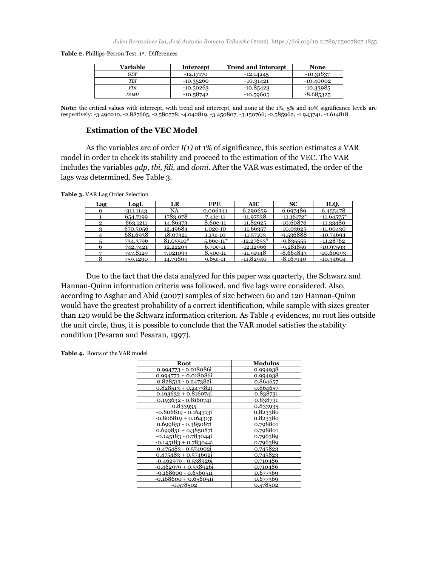**Table 2.** Phillips-Perron Test. 1st. Differences

| Variable | <b>Intercept</b> | <b>Trend and Intercept</b> | <b>None</b> |
|----------|------------------|----------------------------|-------------|
| GDP      | -12.17170        | $-12.14245$                | $-10.31837$ |
| TBI      | -10.35260        | -10.31421                  | $-10.40002$ |
| FDI      | $-10.50263$      | $-10.85423$                | $-10.33985$ |
| DOMI     | $-10.58742$      | $-10.59605$                | $-8.685325$ |

**Note:** the critical values with intercept, with trend and intercept, and none at the 1%, 5% and 10% significance levels are respectively: -3.490210, -2.887665, -2.580778; -4.042819, -3.450807, -3.150766; -2.585962, -1.943741, -1.614818.

## **Estimation of the VEC Model**

As the variables are of order *I(1)* at 1% of significance, this section estimates a VAR model in order to check its stability and proceed to the estimation of the VEC. The VAR includes the variables *gdp, tbi, fdi,* and *domi*. After the VAR was estimated, the order of the lags was determined. See Table 3.

**Table 3.** VAR Lag Order Selection

| Lag | LogL        | LR        | <b>FPE</b>  | AIC          | <b>SC</b>    | H.O.         |
|-----|-------------|-----------|-------------|--------------|--------------|--------------|
| О   | $-311.1143$ | NA        | 0.006341    | 6.290659     | 6.697489     | 6.455478     |
|     | 654.7199    | 1783.078  | 7.41e-11    | -11.97538    | $-11.16172*$ | $-11.64575*$ |
| 2   | 663.1211    | 14.86373  | 8.60e-11    | $-11.82925$  | -10.60876    | -11.33480    |
|     | 670.5056    | 12.49684  | 1.02e-10    | $-11.66357$  | $-10.03625$  | $-11.00430$  |
|     | 681.6938    | 18.07321  | 1.13e-10    | $-11.57103$  | -9.536888    | $-10.74694$  |
|     | 734.3796    | 81.05510* | $5.66e-11*$ | $-12.27653*$ | $-9.835555$  | $-11.28762$  |
|     | 742.7421    | 12.22203  | 6.70e-11    | -12.12966    | -9.281850    | $-10.97593$  |
|     | 747.8129    | 7.021093  | 8.50e-11    | $-11.91948$  | $-8.664843$  | $-10.60093$  |
|     | 759.1290    | 14.79809  | $9.65e-11$  | -11.82940    | $-8.167940$  | $-10.34604$  |

Due to the fact that the data analyzed for this paper was quarterly, the Schwarz and Hannan-Quinn information criteria was followed, and five lags were considered. Also, according to Asghar and Abid (2007) samples of size between 60 and 120 Hannan-Quinn would have the greatest probability of a correct identification, while sample with sizes greater than 120 would be the Schwarz information criterion. As Table 4 evidences, no root lies outside the unit circle, thus, it is possible to conclude that the VAR model satisfies the stability condition (Pesaran and Pesaran, 1997).

**Table 4.** Roots of the VAR model

| Root                         | <b>Modulus</b> |
|------------------------------|----------------|
| 0.994773 - 0.018086i         | 0.994938       |
| $0.994773 + 0.018086$        | 0.994938       |
| 0.828513 - 0.2473821         | 0.864657       |
| $0.828513 + 0.247382i$       | 0.864657       |
| $0.193632 + 0.816074i$       | 0.838731       |
| $0.193632 - 0.816074i$       | 0.838731       |
| 0.833935                     | 0.833935       |
| $-0.806819 - 0.1643131$      | 0.823380       |
| $-0.806819 + 0.164313i$      | 0.823380       |
| $0.699851 - 0.385087$        | 0.798801       |
| $0.699851 + 0.385087$        | 0.798801       |
| -0.145183 - 0.7830441        | 0.796389       |
| $-0.145183 + 0.783044i$      | 0.796389       |
| 0.475483 - 0.574602i         | 0.745823       |
| $0.475483 + 0.574602i$       | 0.745823       |
| <u>-0.462979 - 0.538926i</u> | 0.710486       |
| $-0.462979 + 0.538926$       | 0.710486       |
| -0.168600 - 0.656051i        | 0.677369       |
| $-0.168600 + 0.656051i$      | 0.677369       |
| $-0.578502$                  | 0.578502       |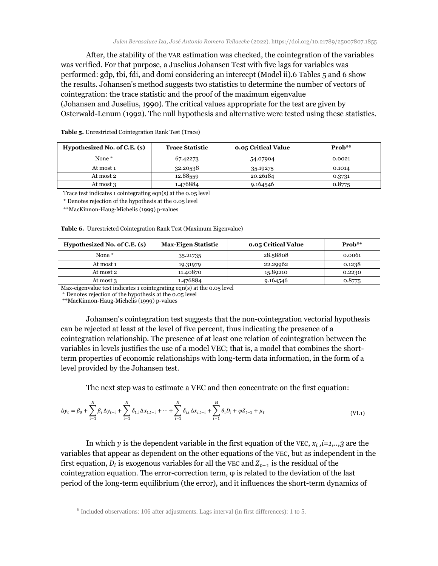After, the stability of the VAR estimation was checked, the cointegration of the variables was verified. For that purpose, a Juselius Johansen Test with five lags for variables was performed: gdp, tbi, fdi, and domi considering an intercept (Model ii).6 Tables 5 and 6 show the results. Johansen's method suggests two statistics to determine the number of vectors of cointegration: the trace statistic and the proof of the maximum eigenvalue (Johansen and Juselius, 1990). The critical values appropriate for the test are given by Osterwald-Lenum (1992). The null hypothesis and alternative were tested using these statistics.

| Hypothesized No. of C.E. (s) | <b>Trace Statistic</b> | <b>0.05 Critical Value</b> | $Prob**$ |
|------------------------------|------------------------|----------------------------|----------|
| None <sup>*</sup>            | 67.42273               | 54.07904                   | 0.0021   |
| At most 1                    | 32.20538               | 35.19275                   | 0.1014   |
| At most 2                    | 12.88559               | 20.26184                   | 0.3731   |
| At most 3                    | 1.476884               | 9.164546                   | 0.8775   |

**Table 5.** Unrestricted Cointegration Rank Test (Trace)

Trace test indicates 1 cointegrating eqn(s) at the 0.05 level

\* Denotes rejection of the hypothesis at the 0.05 level

\*\*MacKinnon-Haug-Michelis (1999) p-values

| Hypothesized No. of C.E. (s) | <b>Max-Eigen Statistic</b> | <b>0.05 Critical Value</b> | $\mathbf{Prob}^{**}$ |
|------------------------------|----------------------------|----------------------------|----------------------|
| None <sup>*</sup>            | 35.21735                   | 28.58808                   | 0.0061               |
| At most 1                    | 19.31979                   | 22.29962                   | 0.1238               |
| At most 2                    | 11.40870                   | 15.89210                   | 0.2230               |
| At most 3                    | 1.476884                   | 9.164546                   | 0.8775               |

**Table 6.** Unrestricted Cointegration Rank Test (Maximum Eigenvalue)

Max-eigenvalue test indicates 1 cointegrating eqn(s) at the 0.05 level

\* Denotes rejection of the hypothesis at the 0.05 level

\*\*MacKinnon-Haug-Michelis (1999) p-values

l

Johansen's cointegration test suggests that the non-cointegration vectorial hypothesis can be rejected at least at the level of five percent, thus indicating the presence of a cointegration relationship. The presence of at least one relation of cointegration between the variables in levels justifies the use of a model VEC; that is, a model that combines the shortterm properties of economic relationships with long-term data information, in the form of a level provided by the Johansen test.

The next step was to estimate a VEC and then concentrate on the first equation:

$$
\Delta y_t = \beta_0 + \sum_{i=1}^N \beta_i \Delta y_{t-i} + \sum_{i=1}^N \delta_{1,i} \Delta x_{1,t-i} + \dots + \sum_{i=1}^N \delta_{j,i} \Delta x_{j,t-i} + \sum_{i=1}^M \theta_i D_i + \varphi Z_{t-1} + \mu_t
$$
(VI.1)

In which y is the dependent variable in the first equation of the VEC,  $x_i$ ,  $i=1,..,3$  are the variables that appear as dependent on the other equations of the VEC, but as independent in the first equation,  $D_i$  is exogenous variables for all the VEC and  $Z_{t-1}$  is the residual of the cointegration equation. The error-correction term,  $\varphi$  is related to the deviation of the last period of the long-term equilibrium (the error), and it influences the short-term dynamics of

 $6$  Included observations: 106 after adjustments. Lags interval (in first differences): 1 to 5.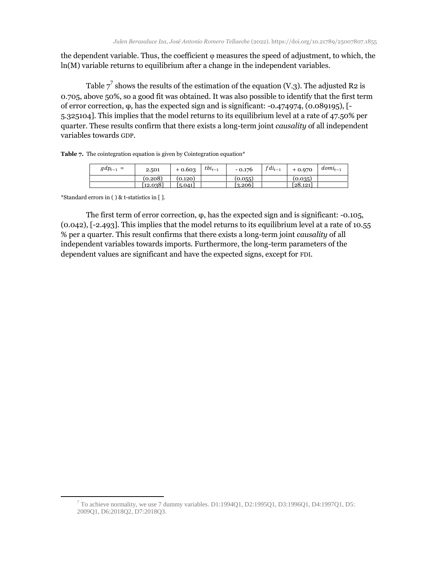the dependent variable. Thus, the coefficient  $\varphi$  measures the speed of adjustment, to which, the ln(M) variable returns to equilibrium after a change in the independent variables.

Table  $7^7$  shows the results of the estimation of the equation (V.3). The adjusted R2 is 0.705, above 50%, so a good fit was obtained. It was also possible to identify that the first term of error correction, φ, has the expected sign and is significant: -0.474974, (0.089195), [- 5.325104]. This implies that the model returns to its equilibrium level at a rate of 47.50% per quarter. These results confirm that there exists a long-term joint *causality* of all independent variables towards GDP.

|  | <b>Table 7.</b> The cointegration equation is given by Cointegration equation* |  |  |  |  |
|--|--------------------------------------------------------------------------------|--|--|--|--|
|--|--------------------------------------------------------------------------------|--|--|--|--|

| $gdp_{t-1}$<br>$=$ | 2.501    | $+0.603$ | $tbi_{t-1}$ | $-0.176$ | $fdi_{t-1}$ | $+0.970$ | $dom_{t-1}$ |
|--------------------|----------|----------|-------------|----------|-------------|----------|-------------|
|                    | (0.208)  | (0.120)  |             | (0.055)  |             | (0.035)  |             |
|                    | [12.038] | 5.041    |             | 3.206    |             | [28.121] |             |

\*Standard errors in ( ) & t-statistics in [ ].

 $\overline{a}$ 

The first term of error correction,  $\varphi$ , has the expected sign and is significant: -0.105, (0.042), [-2.493]. This implies that the model returns to its equilibrium level at a rate of 10.55 % per a quarter. This result confirms that there exists a long-term joint *causality* of all independent variables towards imports. Furthermore, the long-term parameters of the dependent values are significant and have the expected signs, except for FDI.

 $^7$  To achieve normality, we use 7 dummy variables. D1:1994Q1, D2:1995Q1, D3:1996Q1, D4:1997Q1, D5: 2009Q1, D6:2018Q2, D7:2018Q3.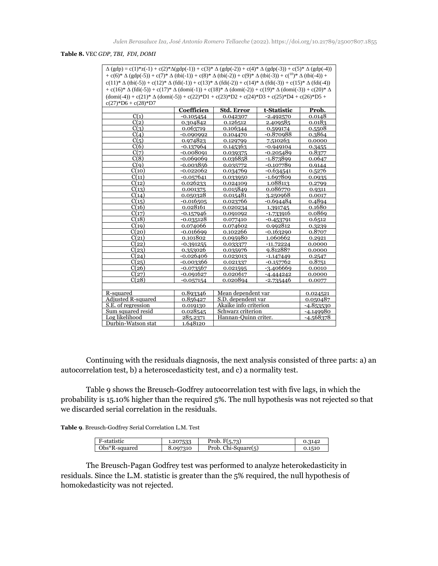**Table 8.** VEC *GDP, TBI, FDI, DOMI*

| $\Delta$ (gdp) = c(1)*z(-1) + c(2)* $\Delta$ (gdp(-1)) + c(3)* $\Delta$ (gdp(-2)) + c(4)* $\Delta$ (gdp(-3)) + c(5)* $\Delta$ (gdp(-4))                |             |                       |             |             |  |  |  |
|--------------------------------------------------------------------------------------------------------------------------------------------------------|-------------|-----------------------|-------------|-------------|--|--|--|
| + c(6)* $\Delta$ (gdp(-5)) + c(7)* $\Delta$ (tbi(-1)) + c(8)* $\Delta$ (tbi(-2)) + c(9)* $\Delta$ (tbi(-3)) + c( <sup>10</sup> )* $\Delta$ (tbi(-4)) + |             |                       |             |             |  |  |  |
| $c(11)^* \Delta (tbi(-5)) + c(12)^* \Delta (fdi(-1)) + c(13)^* \Delta (fdi(-2)) + c(14)^* \Delta (fdi(-3)) + c(15)^* \Delta (fdi(-4))$                 |             |                       |             |             |  |  |  |
| $+ c(16)^* \Delta (fdi(-5)) + c(17)^* \Delta (domi(-1)) + c(18)^* \Delta (domi(-2)) + c(19)^* \Delta (domi(-3)) + c(20)^* \Delta$                      |             |                       |             |             |  |  |  |
| $(\text{domi}(-4)) + c(21)^* \Delta (\text{domi}(-5)) + c(22)^* D1 + c(23)^* D2 + c(24)^* D3 + c(25)^* D4 + c(26)^* D5 +$                              |             |                       |             |             |  |  |  |
| $c(27)*D6 + c(28)*D7$                                                                                                                                  |             |                       |             |             |  |  |  |
|                                                                                                                                                        | Coefficien  | <b>Std. Error</b>     | t-Statistic | Prob.       |  |  |  |
| C(1)                                                                                                                                                   | $-0.105454$ | 0.042307              | $-2.492570$ | 0.0148      |  |  |  |
| C(2)                                                                                                                                                   | 0.304842    | 0.126512              | 2.409585    | 0.0183      |  |  |  |
| C(3)                                                                                                                                                   | 0.063719    | 0.106344              | 0.599174    | 0.5508      |  |  |  |
| C(4)                                                                                                                                                   | $-0.090992$ | 0.104470              | $-0.870988$ | 0.3864      |  |  |  |
| C(5)                                                                                                                                                   | 0.974823    | 0.129799              | 7.510263    | 0.0000      |  |  |  |
| C(6)                                                                                                                                                   | $-0.137964$ | 0.145363              | $-0.949104$ | 0.3455      |  |  |  |
| C(7)                                                                                                                                                   | $-0.008091$ | 0.039375              | $-0.205489$ | 0.8377      |  |  |  |
| C(8)                                                                                                                                                   | $-0.069069$ | 0.036858              | $-1.873899$ | 0.0647      |  |  |  |
| C(q)                                                                                                                                                   | $-0.003856$ | 0.035772              | $-0.107789$ | 0.9144      |  |  |  |
| C(10)                                                                                                                                                  | $-0.022062$ | 0.034769              | $-0.634541$ | 0.5276      |  |  |  |
| C(11)                                                                                                                                                  | $-0.057641$ | 0.033950              | $-1.697809$ | 0.0935      |  |  |  |
| C(12)                                                                                                                                                  | 0.026233    | 0.024109              | 1.088113    | 0.2799      |  |  |  |
| C(13)                                                                                                                                                  | 0.001375    | 0.015849              | 0.086770    | 0.9311      |  |  |  |
| C(14)                                                                                                                                                  | 0.050328    | 0.015481              | 3.250968    | 0.0017      |  |  |  |
| C(15)                                                                                                                                                  | $-0.016505$ | 0.023766              | $-0.694484$ | 0.4894      |  |  |  |
| C(16)                                                                                                                                                  | 0.028161    | 0.020234              | 1.391745    | 0.1680      |  |  |  |
| C(17)                                                                                                                                                  | $-0.157946$ | 0.091092              | $-1.733916$ | 0.0869      |  |  |  |
| C(18)                                                                                                                                                  | $-0.035128$ | 0.077410              | $-0.453791$ | 0.6512      |  |  |  |
| C(19)                                                                                                                                                  | 0.074066    | 0.074602              | 0.992812    | 0.3239      |  |  |  |
| C(20)                                                                                                                                                  | $-0.016699$ | 0.102266              | $-0.163290$ | 0.8707      |  |  |  |
| C(21)                                                                                                                                                  | 0.101802    | 0.095980              | 1.060662    | 0.2921      |  |  |  |
| C(22)                                                                                                                                                  | $-0.391255$ | 0.033377              | $-11.72224$ | 0.0000      |  |  |  |
| C(23)                                                                                                                                                  | 0.353026    | 0.035976              | 9.812887    | 0.0000      |  |  |  |
| C(24)                                                                                                                                                  | $-0.026406$ | 0.023013              | $-1.147449$ | 0.2547      |  |  |  |
| C(25)                                                                                                                                                  | $-0.003366$ | 0.021337              | $-0.157762$ | 0.8751      |  |  |  |
| C(26)                                                                                                                                                  | $-0.073567$ | 0.021595              | $-3.406669$ | 0.0010      |  |  |  |
| C(27)                                                                                                                                                  | $-0.091627$ | 0.020617              | $-4.444242$ | 0.0000      |  |  |  |
| C(28)                                                                                                                                                  | $-0.057154$ | 0.020894              | $-2.735446$ | 0.0077      |  |  |  |
|                                                                                                                                                        |             |                       |             |             |  |  |  |
| R-squared                                                                                                                                              | 0.893346    | Mean dependent var    |             | 0.024521    |  |  |  |
| Adjusted R-squared                                                                                                                                     | 0.856427    | S.D. dependent var    |             | 0.050487    |  |  |  |
| S.E. of regression                                                                                                                                     | 0.019130    | Akaike info criterion |             | $-4.853530$ |  |  |  |
| Sum squared resid                                                                                                                                      | 0.028545    | Schwarz criterion     |             | $-4.149980$ |  |  |  |
| Log likelihood                                                                                                                                         | 285.2371    | Hannan-Ouinn criter.  |             | $-4.568378$ |  |  |  |
| Durbin-Watson stat<br>1.648120                                                                                                                         |             |                       |             |             |  |  |  |

Continuing with the residuals diagnosis, the next analysis consisted of three parts: a) an autocorrelation test, b) a heteroscedasticity test, and c) a normality test.

Table 9 shows the Breusch-Godfrey autocorrelation test with five lags, in which the probability is 15.10% higher than the required 5%. The null hypothesis was not rejected so that we discarded serial correlation in the residuals.

**Table 9**. Breusch-Godfrey Serial Correlation L.M. Test

| F-statistic      | 1.207533 | F(5,73)<br>Prob. F    | :3142  |
|------------------|----------|-----------------------|--------|
| $Obs*R$ -squared | 8.097310 | Prob. $Chi-Square(5)$ | 0.1510 |
|                  |          |                       |        |

The Breusch-Pagan Godfrey test was performed to analyze heterokedasticity in residuals. Since the L.M. statistic is greater than the 5% required, the null hypothesis of homokedasticity was not rejected.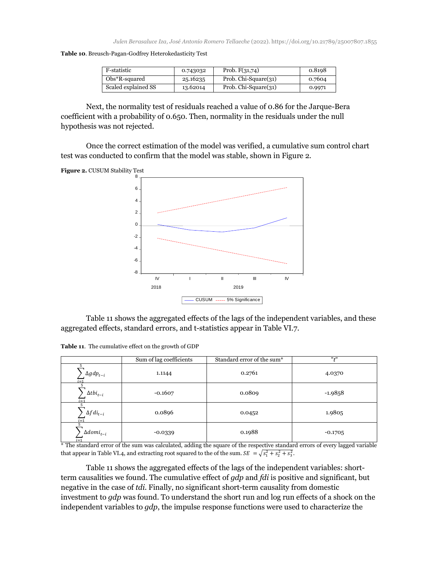**Table 10**. Breusch-Pagan-Godfrey Heterokedasticity Test

| F-statistic         | 0.743032 | Prob. $F(31,74)$     | 0.8198 |
|---------------------|----------|----------------------|--------|
| $Obs*R$ -squared    | 25.16235 | Prob. Chi-Square(31) | 0.7604 |
| Scaled explained SS | 13.62014 | Prob. Chi-Square(31) | 0.9971 |

Next, the normality test of residuals reached a value of 0.86 for the Jarque-Bera coefficient with a probability of 0.650. Then, normality in the residuals under the null hypothesis was not rejected.

Once the correct estimation of the model was verified, a cumulative sum control chart test was conducted to confirm that the model was stable, shown in Figure 2.





Table 11 shows the aggregated effects of the lags of the independent variables, and these aggregated effects, standard errors, and t-statistics appear in Table VI.7.

**Table 11**. The cumulative effect on the growth of GDP

|                               | Sum of lag coefficients | Standard error of the sum* | $11 + 11$ |
|-------------------------------|-------------------------|----------------------------|-----------|
| $\Delta gdp_{t-i}$<br>$i = 1$ | 1.1144                  | 0.2761                     | 4.0370    |
| $\Delta tbi_{t-i}$<br>$i=1$   | $-0.1607$               | 0.0809                     | $-1.9858$ |
| $\Delta fdi_{t-i}$<br>$i = 1$ | 0.0896                  | 0.0452                     | 1.9805    |
| $\Delta domi_{t-i}$           | $-0.0339$               | 0.1988                     | $-0.1705$ |

 $\frac{1}{1}$  i=1<br>\* The standard error of the sum was calculated, adding the square of the respective standard errors of every lagged variable that appear in Table VI.4, and extracting root squared to the of the sum.  $SE = \sqrt{s_1^2 + s_2^2 + s_3^2}$ .

Table 11 shows the aggregated effects of the lags of the independent variables: shortterm causalities we found. The cumulative effect of *gdp* and *fdi* is positive and significant, but negative in the case of *tdi*. Finally, no significant short-term causality from domestic investment to *gdp* was found*.* To understand the short run and log run effects of a shock on the independent variables to *gdp*, the impulse response functions were used to characterize the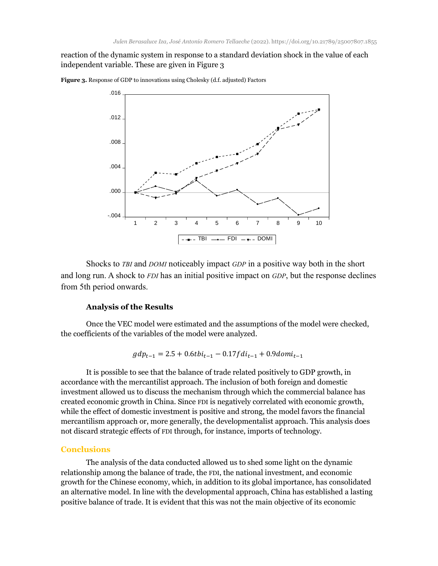reaction of the dynamic system in response to a standard deviation shock in the value of each independent variable. These are given in Figure 3



**Figure 3.** Response of GDP to innovations using Cholesky (d.f. adjusted) Factors

Shocks to *TBI* and *DOMI* noticeably impact *GDP* in a positive way both in the short and long run. A shock to *FDI* has an initial positive impact on *GDP*, but the response declines from 5th period onwards.

#### **Analysis of the Results**

Once the VEC model were estimated and the assumptions of the model were checked, the coefficients of the variables of the model were analyzed.

$$
gdp_{t-1} = 2.5 + 0.6tbi_{t-1} - 0.17fdi_{t-1} + 0.9domi_{t-1}
$$

It is possible to see that the balance of trade related positively to GDP growth, in accordance with the mercantilist approach. The inclusion of both foreign and domestic investment allowed us to discuss the mechanism through which the commercial balance has created economic growth in China. Since FDI is negatively correlated with economic growth, while the effect of domestic investment is positive and strong, the model favors the financial mercantilism approach or, more generally, the developmentalist approach. This analysis does not discard strategic effects of FDI through, for instance, imports of technology.

## **Conclusions**

The analysis of the data conducted allowed us to shed some light on the dynamic relationship among the balance of trade, the FDI, the national investment, and economic growth for the Chinese economy, which, in addition to its global importance, has consolidated an alternative model. In line with the developmental approach, China has established a lasting positive balance of trade. It is evident that this was not the main objective of its economic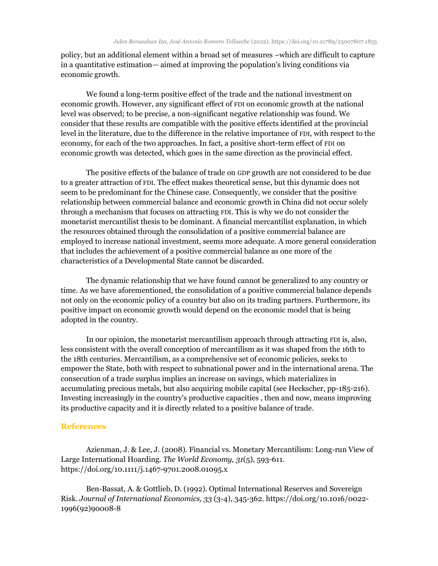policy, but an additional element within a broad set of measures –which are difficult to capture in a quantitative estimation— aimed at improving the population's living conditions via economic growth.

We found a long-term positive effect of the trade and the national investment on economic growth. However, any significant effect of FDI on economic growth at the national level was observed; to be precise, a non-significant negative relationship was found. We consider that these results are compatible with the positive effects identified at the provincial level in the literature, due to the difference in the relative importance of FDI, with respect to the economy, for each of the two approaches. In fact, a positive short-term effect of FDI on economic growth was detected, which goes in the same direction as the provincial effect.

The positive effects of the balance of trade on GDP growth are not considered to be due to a greater attraction of FDI. The effect makes theoretical sense, but this dynamic does not seem to be predominant for the Chinese case. Consequently, we consider that the positive relationship between commercial balance and economic growth in China did not occur solely through a mechanism that focuses on attracting FDI. This is why we do not consider the monetarist mercantilist thesis to be dominant. A financial mercantilist explanation, in which the resources obtained through the consolidation of a positive commercial balance are employed to increase national investment, seems more adequate. A more general consideration that includes the achievement of a positive commercial balance as one more of the characteristics of a Developmental State cannot be discarded.

The dynamic relationship that we have found cannot be generalized to any country or time. As we have aforementioned, the consolidation of a positive commercial balance depends not only on the economic policy of a country but also on its trading partners. Furthermore, its positive impact on economic growth would depend on the economic model that is being adopted in the country.

In our opinion, the monetarist mercantilism approach through attracting FDI is, also, less consistent with the overall conception of mercantilism as it was shaped from the 16th to the 18th centuries. Mercantilism, as a comprehensive set of economic policies, seeks to empower the State, both with respect to subnational power and in the international arena. The consecution of a trade surplus implies an increase on savings, which materializes in accumulating precious metals, but also acquiring mobile capital (see Heckscher, pp-185-216). Investing increasingly in the country's productive capacities , then and now, means improving its productive capacity and it is directly related to a positive balance of trade.

### **References**

Azienman, J. & Lee, J. (2008). Financial vs. Monetary Mercantilism: Long-run View of Large International Hoarding. *The World Economy, 31*(5), 593-611. <https://doi.org/10.1111/j.1467-9701.2008.01095.x>

Ben-Bassat, A. & Gottlieb, D. (1992). Optimal International Reserves and Sovereign Risk. *Journal of International Economics, 33* (3-4), 345-362. [https://doi.org/10.1016/0022-](https://doi.org/10.1016/0022-1996(92)90008-8) [1996\(92\)90008-8](https://doi.org/10.1016/0022-1996(92)90008-8)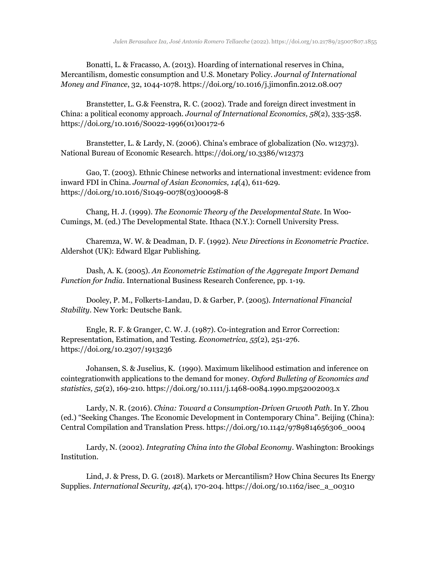Bonatti, L. & Fracasso, A. (2013). Hoarding of international reserves in China, Mercantilism, domestic consumption and U.S. Monetary Policy. *Journal of International Money and Finance*, 32, 1044-1078. https://doi.org/10.1016/j.jimonfin.2012.08.007

Branstetter, L. G.& Feenstra, R. C. (2002). Trade and foreign direct investment in China: a political economy approach. *Journal of International Economics, 58*(2), 335-358. [https://doi.org/10.1016/S0022-1996\(01\)00172-6](https://doi.org/10.1016/S0022-1996(01)00172-6)

Branstetter, L. & Lardy, N. (2006). China's embrace of globalization (No. w12373). National Bureau of Economic Research. <https://doi.org/10.3386/w12373>

Gao, T. (2003). Ethnic Chinese networks and international investment: evidence from inward FDI in China. *Journal of Asian Economics, 14*(4), 611-629. https://doi.org/10.1016/S1049-0078(03)00098-8

Chang, H. J. (1999). *The Economic Theory of the Developmental State*. In Woo-Cumings, M. (ed.) The Developmental State. Ithaca (N.Y.): Cornell University Press.

Charemza, W. W. & Deadman, D. F. (1992)*. New Directions in Econometric Practice*. Aldershot (UK): Edward Elgar Publishing.

Dash, A. K. (2005). *An Econometric Estimation of the Aggregate Import Demand Function for India*. International Business Research Conference, pp. 1-19.

Dooley, P. M., Folkerts-Landau, D. & Garber, P. (2005). *International Financial Stability*. New York: Deutsche Bank.

Engle, R. F. & Granger, C. W. J. (1987). Co-integration and Error Correction: Representation, Estimation, and Testing. *Econometrica, 55*(2), 251-276. https://doi.org/10.2307/1913236

Johansen, S. & Juselius, K. (1990). Maximum likelihood estimation and inference on cointegrationwith applications to the demand for money. *Oxford Bulleting of Economics and statistics, 52*(2), 169-210. https://doi.org/10.1111/j.1468-0084.1990.mp52002003.x

Lardy, N. R. (2016). *China: Toward a Consumption-Driven Grwoth Path*. In Y. Zhou (ed.) "Seeking Changes. The Economic Development in Contemporary China". Beijing (China): Central Compilation and Translation Press. [https://doi.org/10.1142/9789814656306\\_0004](https://doi.org/10.1142/9789814656306_0004)

Lardy, N. (2002). *Integrating China into the Global Economy*. Washington: Brookings Institution.

Lind, J. & Press, D. G. (2018). Markets or Mercantilism? How China Secures Its Energy Supplies. *International Security, 42*(4), 170-204. https://doi.org/10.1162/isec\_a\_00310